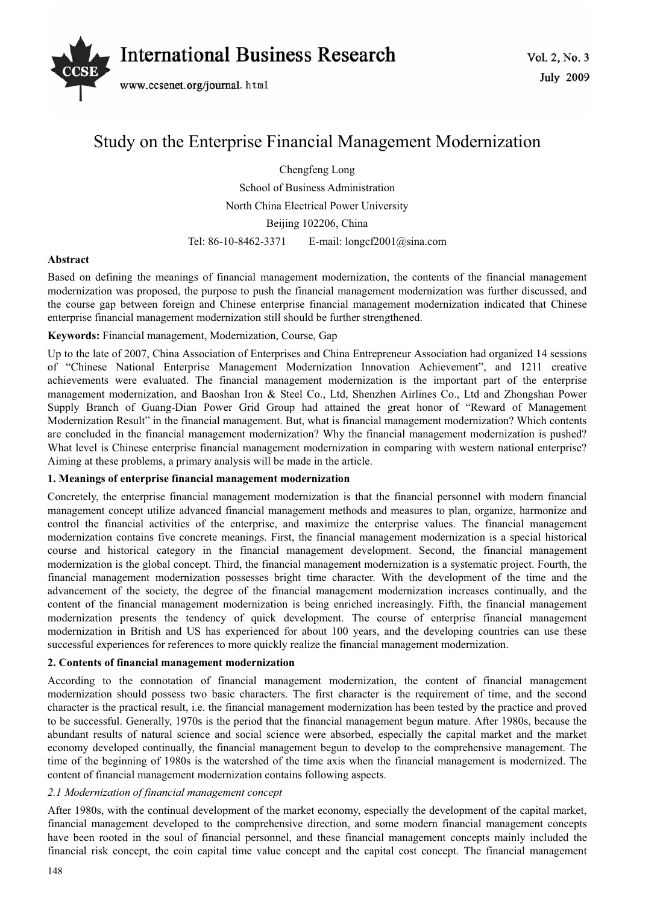

# Study on the Enterprise Financial Management Modernization

Chengfeng Long School of Business Administration North China Electrical Power University Beijing 102206, China Tel: 86-10-8462-3371 E-mail: longcf2001@sina.com

## **Abstract**

Based on defining the meanings of financial management modernization, the contents of the financial management modernization was proposed, the purpose to push the financial management modernization was further discussed, and the course gap between foreign and Chinese enterprise financial management modernization indicated that Chinese enterprise financial management modernization still should be further strengthened.

# **Keywords:** Financial management, Modernization, Course, Gap

Up to the late of 2007, China Association of Enterprises and China Entrepreneur Association had organized 14 sessions of "Chinese National Enterprise Management Modernization Innovation Achievement", and 1211 creative achievements were evaluated. The financial management modernization is the important part of the enterprise management modernization, and Baoshan Iron & Steel Co., Ltd, Shenzhen Airlines Co., Ltd and Zhongshan Power Supply Branch of Guang-Dian Power Grid Group had attained the great honor of "Reward of Management Modernization Result" in the financial management. But, what is financial management modernization? Which contents are concluded in the financial management modernization? Why the financial management modernization is pushed? What level is Chinese enterprise financial management modernization in comparing with western national enterprise? Aiming at these problems, a primary analysis will be made in the article.

## **1. Meanings of enterprise financial management modernization**

Concretely, the enterprise financial management modernization is that the financial personnel with modern financial management concept utilize advanced financial management methods and measures to plan, organize, harmonize and control the financial activities of the enterprise, and maximize the enterprise values. The financial management modernization contains five concrete meanings. First, the financial management modernization is a special historical course and historical category in the financial management development. Second, the financial management modernization is the global concept. Third, the financial management modernization is a systematic project. Fourth, the financial management modernization possesses bright time character. With the development of the time and the advancement of the society, the degree of the financial management modernization increases continually, and the content of the financial management modernization is being enriched increasingly. Fifth, the financial management modernization presents the tendency of quick development. The course of enterprise financial management modernization in British and US has experienced for about 100 years, and the developing countries can use these successful experiences for references to more quickly realize the financial management modernization.

# **2. Contents of financial management modernization**

According to the connotation of financial management modernization, the content of financial management modernization should possess two basic characters. The first character is the requirement of time, and the second character is the practical result, i.e. the financial management modernization has been tested by the practice and proved to be successful. Generally, 1970s is the period that the financial management begun mature. After 1980s, because the abundant results of natural science and social science were absorbed, especially the capital market and the market economy developed continually, the financial management begun to develop to the comprehensive management. The time of the beginning of 1980s is the watershed of the time axis when the financial management is modernized. The content of financial management modernization contains following aspects.

# *2.1 Modernization of financial management concept*

After 1980s, with the continual development of the market economy, especially the development of the capital market, financial management developed to the comprehensive direction, and some modern financial management concepts have been rooted in the soul of financial personnel, and these financial management concepts mainly included the financial risk concept, the coin capital time value concept and the capital cost concept. The financial management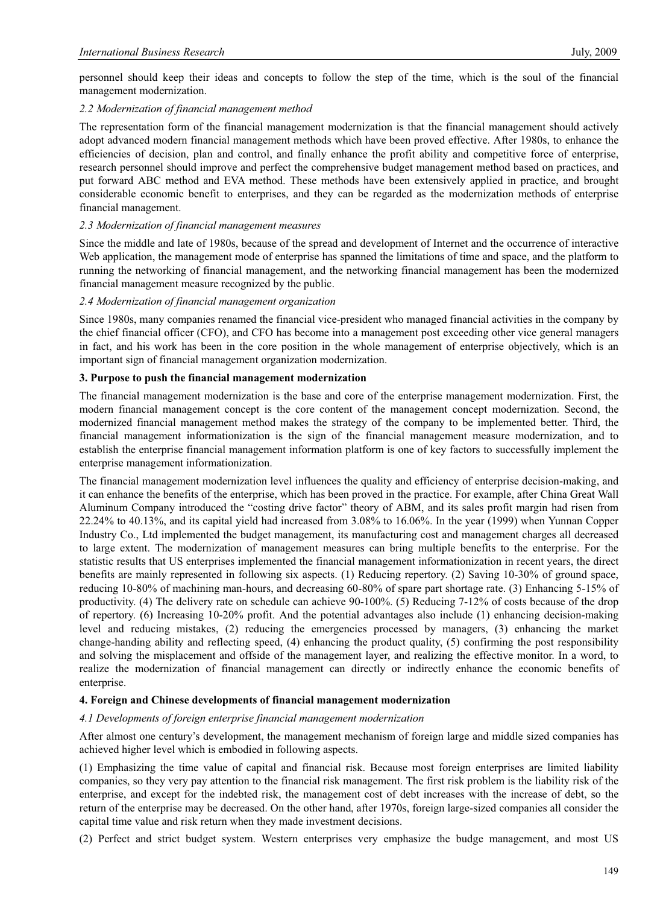personnel should keep their ideas and concepts to follow the step of the time, which is the soul of the financial management modernization.

## *2.2 Modernization of financial management method*

The representation form of the financial management modernization is that the financial management should actively adopt advanced modern financial management methods which have been proved effective. After 1980s, to enhance the efficiencies of decision, plan and control, and finally enhance the profit ability and competitive force of enterprise, research personnel should improve and perfect the comprehensive budget management method based on practices, and put forward ABC method and EVA method. These methods have been extensively applied in practice, and brought considerable economic benefit to enterprises, and they can be regarded as the modernization methods of enterprise financial management.

## *2.3 Modernization of financial management measures*

Since the middle and late of 1980s, because of the spread and development of Internet and the occurrence of interactive Web application, the management mode of enterprise has spanned the limitations of time and space, and the platform to running the networking of financial management, and the networking financial management has been the modernized financial management measure recognized by the public.

## *2.4 Modernization of financial management organization*

Since 1980s, many companies renamed the financial vice-president who managed financial activities in the company by the chief financial officer (CFO), and CFO has become into a management post exceeding other vice general managers in fact, and his work has been in the core position in the whole management of enterprise objectively, which is an important sign of financial management organization modernization.

## **3. Purpose to push the financial management modernization**

The financial management modernization is the base and core of the enterprise management modernization. First, the modern financial management concept is the core content of the management concept modernization. Second, the modernized financial management method makes the strategy of the company to be implemented better. Third, the financial management informationization is the sign of the financial management measure modernization, and to establish the enterprise financial management information platform is one of key factors to successfully implement the enterprise management informationization.

The financial management modernization level influences the quality and efficiency of enterprise decision-making, and it can enhance the benefits of the enterprise, which has been proved in the practice. For example, after China Great Wall Aluminum Company introduced the "costing drive factor" theory of ABM, and its sales profit margin had risen from 22.24% to 40.13%, and its capital yield had increased from 3.08% to 16.06%. In the year (1999) when Yunnan Copper Industry Co., Ltd implemented the budget management, its manufacturing cost and management charges all decreased to large extent. The modernization of management measures can bring multiple benefits to the enterprise. For the statistic results that US enterprises implemented the financial management informationization in recent years, the direct benefits are mainly represented in following six aspects. (1) Reducing repertory. (2) Saving 10-30% of ground space, reducing 10-80% of machining man-hours, and decreasing 60-80% of spare part shortage rate. (3) Enhancing 5-15% of productivity. (4) The delivery rate on schedule can achieve 90-100%. (5) Reducing 7-12% of costs because of the drop of repertory. (6) Increasing 10-20% profit. And the potential advantages also include (1) enhancing decision-making level and reducing mistakes, (2) reducing the emergencies processed by managers, (3) enhancing the market change-handing ability and reflecting speed, (4) enhancing the product quality, (5) confirming the post responsibility and solving the misplacement and offside of the management layer, and realizing the effective monitor. In a word, to realize the modernization of financial management can directly or indirectly enhance the economic benefits of enterprise.

#### **4. Foreign and Chinese developments of financial management modernization**

#### *4.1 Developments of foreign enterprise financial management modernization*

After almost one century's development, the management mechanism of foreign large and middle sized companies has achieved higher level which is embodied in following aspects.

(1) Emphasizing the time value of capital and financial risk. Because most foreign enterprises are limited liability companies, so they very pay attention to the financial risk management. The first risk problem is the liability risk of the enterprise, and except for the indebted risk, the management cost of debt increases with the increase of debt, so the return of the enterprise may be decreased. On the other hand, after 1970s, foreign large-sized companies all consider the capital time value and risk return when they made investment decisions.

(2) Perfect and strict budget system. Western enterprises very emphasize the budge management, and most US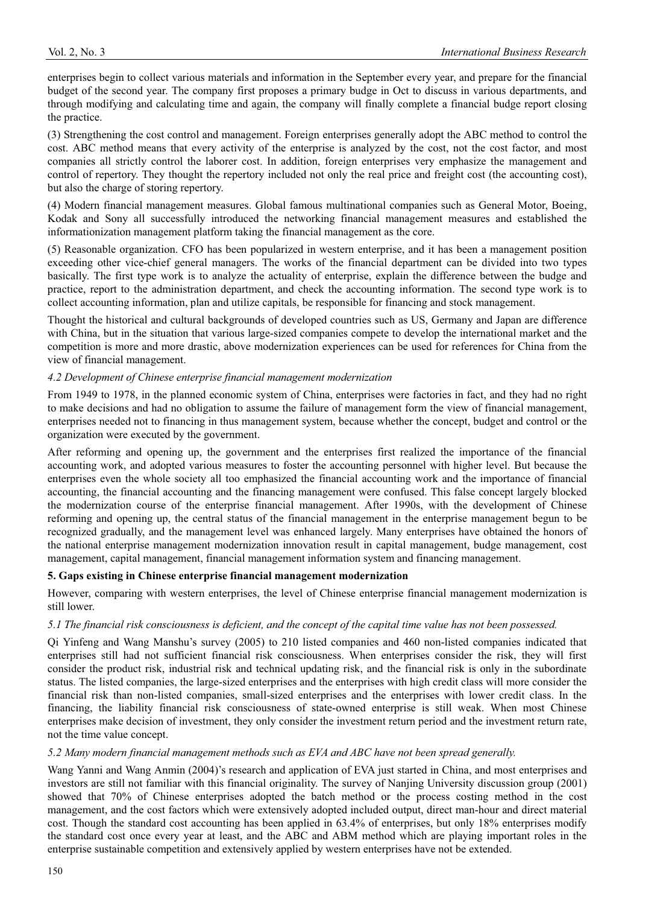enterprises begin to collect various materials and information in the September every year, and prepare for the financial budget of the second year. The company first proposes a primary budge in Oct to discuss in various departments, and through modifying and calculating time and again, the company will finally complete a financial budge report closing the practice.

(3) Strengthening the cost control and management. Foreign enterprises generally adopt the ABC method to control the cost. ABC method means that every activity of the enterprise is analyzed by the cost, not the cost factor, and most companies all strictly control the laborer cost. In addition, foreign enterprises very emphasize the management and control of repertory. They thought the repertory included not only the real price and freight cost (the accounting cost), but also the charge of storing repertory.

(4) Modern financial management measures. Global famous multinational companies such as General Motor, Boeing, Kodak and Sony all successfully introduced the networking financial management measures and established the informationization management platform taking the financial management as the core.

(5) Reasonable organization. CFO has been popularized in western enterprise, and it has been a management position exceeding other vice-chief general managers. The works of the financial department can be divided into two types basically. The first type work is to analyze the actuality of enterprise, explain the difference between the budge and practice, report to the administration department, and check the accounting information. The second type work is to collect accounting information, plan and utilize capitals, be responsible for financing and stock management.

Thought the historical and cultural backgrounds of developed countries such as US, Germany and Japan are difference with China, but in the situation that various large-sized companies compete to develop the international market and the competition is more and more drastic, above modernization experiences can be used for references for China from the view of financial management.

# *4.2 Development of Chinese enterprise financial management modernization*

From 1949 to 1978, in the planned economic system of China, enterprises were factories in fact, and they had no right to make decisions and had no obligation to assume the failure of management form the view of financial management, enterprises needed not to financing in thus management system, because whether the concept, budget and control or the organization were executed by the government.

After reforming and opening up, the government and the enterprises first realized the importance of the financial accounting work, and adopted various measures to foster the accounting personnel with higher level. But because the enterprises even the whole society all too emphasized the financial accounting work and the importance of financial accounting, the financial accounting and the financing management were confused. This false concept largely blocked the modernization course of the enterprise financial management. After 1990s, with the development of Chinese reforming and opening up, the central status of the financial management in the enterprise management begun to be recognized gradually, and the management level was enhanced largely. Many enterprises have obtained the honors of the national enterprise management modernization innovation result in capital management, budge management, cost management, capital management, financial management information system and financing management.

## **5. Gaps existing in Chinese enterprise financial management modernization**

However, comparing with western enterprises, the level of Chinese enterprise financial management modernization is still lower.

# *5.1 The financial risk consciousness is deficient, and the concept of the capital time value has not been possessed.*

Qi Yinfeng and Wang Manshu's survey (2005) to 210 listed companies and 460 non-listed companies indicated that enterprises still had not sufficient financial risk consciousness. When enterprises consider the risk, they will first consider the product risk, industrial risk and technical updating risk, and the financial risk is only in the subordinate status. The listed companies, the large-sized enterprises and the enterprises with high credit class will more consider the financial risk than non-listed companies, small-sized enterprises and the enterprises with lower credit class. In the financing, the liability financial risk consciousness of state-owned enterprise is still weak. When most Chinese enterprises make decision of investment, they only consider the investment return period and the investment return rate, not the time value concept.

## *5.2 Many modern financial management methods such as EVA and ABC have not been spread generally.*

Wang Yanni and Wang Anmin (2004)'s research and application of EVA just started in China, and most enterprises and investors are still not familiar with this financial originality. The survey of Nanjing University discussion group (2001) showed that 70% of Chinese enterprises adopted the batch method or the process costing method in the cost management, and the cost factors which were extensively adopted included output, direct man-hour and direct material cost. Though the standard cost accounting has been applied in 63.4% of enterprises, but only 18% enterprises modify the standard cost once every year at least, and the ABC and ABM method which are playing important roles in the enterprise sustainable competition and extensively applied by western enterprises have not be extended.